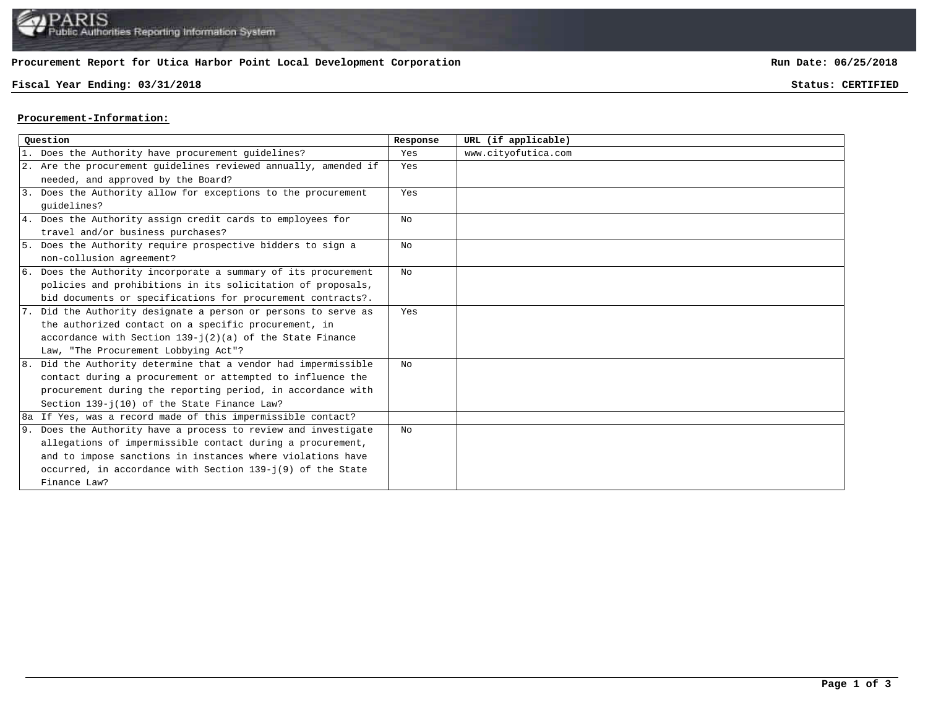

## **Procurement Report for Utica Harbor Point Local Development Corporation**

## **Fiscal Year Ending: 03/31/2018 Status: CERTIFIED**

**Run Date: 06/25/2018**

## **Procurement-Information:**

| Ouestion |                                                                 | Response | URL (if applicable) |
|----------|-----------------------------------------------------------------|----------|---------------------|
|          | 1. Does the Authority have procurement guidelines?              | Yes      | www.cityofutica.com |
|          | 2. Are the procurement quidelines reviewed annually, amended if | Yes      |                     |
|          | needed, and approved by the Board?                              |          |                     |
|          | 3. Does the Authority allow for exceptions to the procurement   | Yes      |                     |
|          | quidelines?                                                     |          |                     |
|          | 4. Does the Authority assign credit cards to employees for      | No       |                     |
|          | travel and/or business purchases?                               |          |                     |
|          | 5. Does the Authority require prospective bidders to sign a     | No       |                     |
|          | non-collusion agreement?                                        |          |                     |
|          | 6. Does the Authority incorporate a summary of its procurement  | No       |                     |
|          | policies and prohibitions in its solicitation of proposals,     |          |                     |
|          | bid documents or specifications for procurement contracts?.     |          |                     |
|          | 7. Did the Authority designate a person or persons to serve as  | Yes      |                     |
|          | the authorized contact on a specific procurement, in            |          |                     |
|          | accordance with Section $139 - j(2)(a)$ of the State Finance    |          |                     |
|          | Law, "The Procurement Lobbying Act"?                            |          |                     |
|          | 8. Did the Authority determine that a vendor had impermissible  | No       |                     |
|          | contact during a procurement or attempted to influence the      |          |                     |
|          | procurement during the reporting period, in accordance with     |          |                     |
|          | Section 139-j(10) of the State Finance Law?                     |          |                     |
|          | 8a If Yes, was a record made of this impermissible contact?     |          |                     |
|          | 9. Does the Authority have a process to review and investigate  | No       |                     |
|          | allegations of impermissible contact during a procurement,      |          |                     |
|          | and to impose sanctions in instances where violations have      |          |                     |
|          | occurred, in accordance with Section 139-j(9) of the State      |          |                     |
|          | Finance Law?                                                    |          |                     |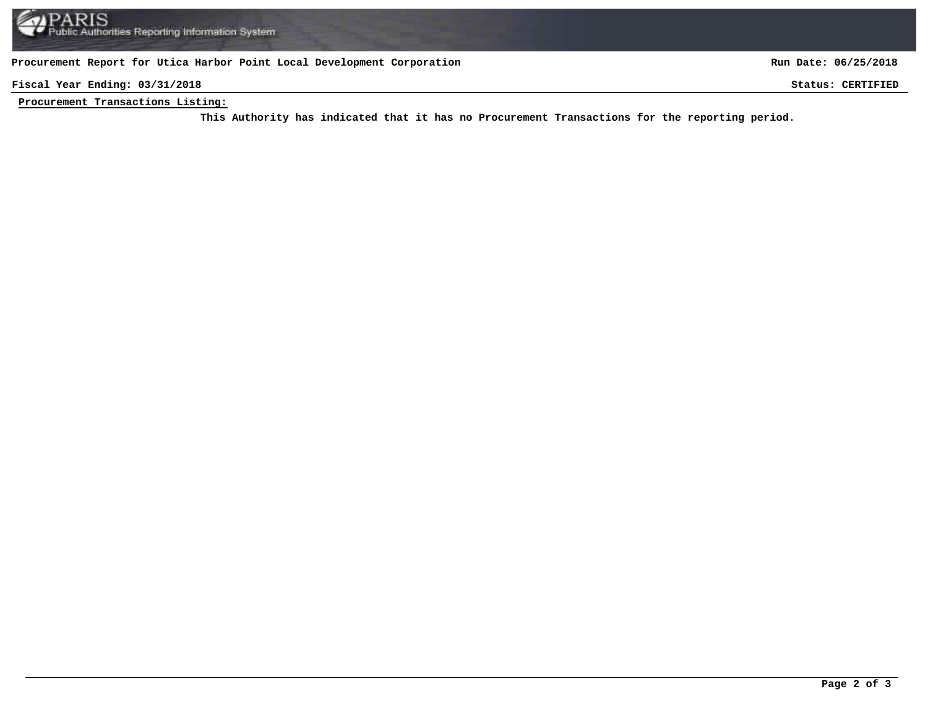## **Procurement Report for Utica Harbor Point Local Development Corporation**

**Run Date: 06/25/2018**

**Fiscal Year Ending: 03/31/2018 Status: CERTIFIED**

**Procurement Transactions Listing:**

This Authority has indicated that it has no Procurement Transactions for the reporting period.